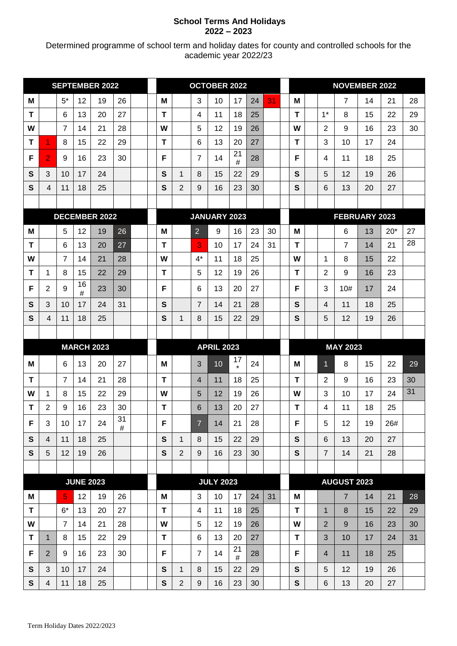## **School Terms And Holidays 2022 – 2023**

Determined programme of school term and holiday dates for county and controlled schools for the academic year 2022/23

| <b>SEPTEMBER 2022</b> |                         |                 |                  | <b>OCTOBER 2022</b> |         |              |              |                   |                          | <b>NOVEMBER 2022</b> |               |               |                 |              |                   |                    |    |       |    |
|-----------------------|-------------------------|-----------------|------------------|---------------------|---------|--------------|--------------|-------------------|--------------------------|----------------------|---------------|---------------|-----------------|--------------|-------------------|--------------------|----|-------|----|
| M                     |                         | $5*$            | 12               | 19                  | 26      |              | M            |                   | 3                        | 10                   | 17            | 24            | 31              | M            |                   | 7                  | 14 | 21    | 28 |
| T                     |                         | 6               | 13               | 20                  | 27      |              | T            |                   | 4                        | 11                   | 18            | 25            |                 | T            | $1*$              | 8                  | 15 | 22    | 29 |
| W                     |                         | $\overline{7}$  | 14               | 21                  | 28      |              | W            |                   | 5                        | 12                   | 19            | 26            |                 | W            | $\overline{2}$    | 9                  | 16 | 23    | 30 |
| т                     | 1                       | 8               | 15               | 22                  | 29      |              | T            |                   | $6\phantom{1}6$          | 13                   | 20            | 27            |                 | T            | 3                 | 10                 | 17 | 24    |    |
| F                     | $\overline{2}$          | 9               | 16               | 23                  | 30      |              | F            |                   | $\overline{7}$           | 14                   | 21<br>$\#$    | 28            |                 | F            | 4                 | 11                 | 18 | 25    |    |
| S                     | 3                       | 10              | 17               | 24                  |         |              | $\mathbf{s}$ | 1                 | 8                        | 15                   | 22            | 29            |                 | S            | 5                 | 12                 | 19 | 26    |    |
| S                     | $\overline{\mathbf{4}}$ | 11              | 18               | 25                  |         |              | S            | 2                 | 9                        | 16                   | 23            | 30            |                 | S            | 6                 | 13                 | 20 | 27    |    |
|                       |                         |                 |                  |                     |         |              |              |                   |                          |                      |               |               |                 |              |                   |                    |    |       |    |
|                       | <b>DECEMBER 2022</b>    |                 |                  |                     |         | JANUARY 2023 |              |                   |                          |                      |               | FEBRUARY 2023 |                 |              |                   |                    |    |       |    |
| M                     |                         | 5               | 12               | 19                  | 26      |              | M            |                   | $\overline{2}$           | 9                    | 16            | 23            | 30              | M            |                   | 6                  | 13 | $20*$ | 27 |
| $\mathbf T$           |                         | 6               | 13               | 20                  | 27      |              | $\mathbf T$  |                   | 3                        | 10                   | 17            | 24            | 31              | T            |                   | $\overline{7}$     | 14 | 21    | 28 |
| W                     |                         | $\overline{7}$  | 14               | 21                  | 28      |              | W            |                   | $4^*$                    | 11                   | 18            | 25            |                 | W            | 1                 | 8                  | 15 | 22    |    |
| T                     | 1                       | 8               | 15               | 22                  | 29      |              | T            |                   | 5                        | 12                   | 19            | 26            |                 | $\mathbf T$  | $\overline{2}$    | 9                  | 16 | 23    |    |
| F                     | 2                       | 9               | 16<br>#          | 23                  | 30      |              | F            |                   | 6                        | 13                   | 20            | 27            |                 | F            | 3                 | 10#                | 17 | 24    |    |
| S                     | 3                       | 10              | 17               | 24                  | 31      |              | S            |                   | $\overline{7}$           | 14                   | 21            | 28            |                 | $\mathbf{s}$ | 4                 | $\sqrt{1}$         | 18 | 25    |    |
| $\mathbf{s}$          | 4                       | 11              | 18               | 25                  |         |              | S            | 1                 | 8                        | 15                   | 22            | 29            |                 | S            | 5                 | 12                 | 19 | 26    |    |
|                       |                         |                 |                  |                     |         |              |              |                   |                          |                      |               |               |                 |              |                   |                    |    |       |    |
|                       | <b>MARCH 2023</b>       |                 |                  |                     |         |              |              | <b>APRIL 2023</b> |                          |                      |               |               | <b>MAY 2023</b> |              |                   |                    |    |       |    |
| М                     |                         | 6               | 13               | 20                  | 27      |              | М            |                   | 3                        | 10                   | 17<br>$\star$ | 24            |                 | м            | 1.                | 8                  | 15 | 22    | 29 |
| $\mathbf T$           |                         | $\overline{7}$  | 14               | 21                  | 28      |              | T            |                   | $\overline{\mathcal{A}}$ | 11                   | 18            | 25            |                 | T            | $\overline{2}$    | 9                  | 16 | 23    | 30 |
| W                     | 1                       | 8               | 15               | 22                  | 29      |              | W            |                   | 5                        | 12                   | 19            | 26            |                 | W            | 3                 | 10                 | 17 | 24    | 31 |
| т                     | 2                       | 9               | 16               | 23                  | 30      |              | T            |                   | 6                        | 13                   | 20            | 27            |                 | T            | 4                 | 11                 | 18 | 25    |    |
| F                     | $\mathbf{3}$            | 10 <sup>1</sup> | 17               | 24                  | 31<br># |              | F            |                   | $\overline{7}$           | 14                   | 21            | 28            |                 | F            | 5                 | 12                 | 19 | 26#   |    |
| $\mathbf{s}$          | $\overline{\mathbf{A}}$ | $\mathbf{11}$   | 18               | 25                  |         |              | $\mathbf{s}$ | $\mathcal{L}$     | $8\phantom{.}8$          | 15                   | 22            | 29            |                 | $\mathbf{s}$ | $\boldsymbol{6}$  | 13                 | 20 | 27    |    |
| S                     | 5                       | 12              | 19               | 26                  |         |              | $\mathbf{s}$ | $\overline{2}$    | 9                        | 16                   | 23            | 30            |                 | $\mathbf{s}$ | $\overline{\tau}$ | 14                 | 21 | 28    |    |
|                       |                         |                 |                  |                     |         |              |              |                   |                          |                      |               |               |                 |              |                   |                    |    |       |    |
|                       |                         |                 | <b>JUNE 2023</b> |                     |         |              |              |                   |                          | <b>JULY 2023</b>     |               |               |                 |              |                   | <b>AUGUST 2023</b> |    |       |    |
| M                     |                         | 5 <sub>1</sub>  | 12               | 19                  | 26      |              | M            |                   | 3                        | 10                   | 17            | 24            | 31              | M            |                   | $\overline{7}$     | 14 | 21    | 28 |
| T                     |                         | $6*$            | 13               | 20                  | 27      |              | T            |                   | $\overline{4}$           | 11                   | 18            | 25            |                 | T            | 1                 | 8                  | 15 | 22    | 29 |
| W                     |                         | $\overline{7}$  | 14               | 21                  | 28      |              | W            |                   | 5                        | 12                   | 19            | 26            |                 | W            | $\overline{2}$    | 9                  | 16 | 23    | 30 |
| T                     | $\mathbf{1}$            | 8               | 15               | 22                  | 29      |              | T            |                   | $\,6\,$                  | 13                   | 20<br>21      | 27            |                 | $\mathbf T$  | 3                 | 10                 | 17 | 24    | 31 |
| F                     | 2                       | 9               | 16               | 23                  | 30      |              | F            |                   | $\overline{7}$           | 14                   | $\#$          | 28            |                 | F            | $\overline{4}$    | 11                 | 18 | 25    |    |
| S                     | $\overline{3}$          | 10              | 17               | 24                  |         |              | $\mathbf s$  | $\mathcal{N}$     | 8                        | 15                   | 22            | 29            |                 | S            | 5                 | 12                 | 19 | 26    |    |
| S                     | $\overline{\mathbf{A}}$ | 11              | 18               | 25                  |         |              | $\mathbf{s}$ | $\overline{2}$    | 9                        | 16                   | 23            | 30            |                 | S            | 6                 | 13                 | 20 | 27    |    |